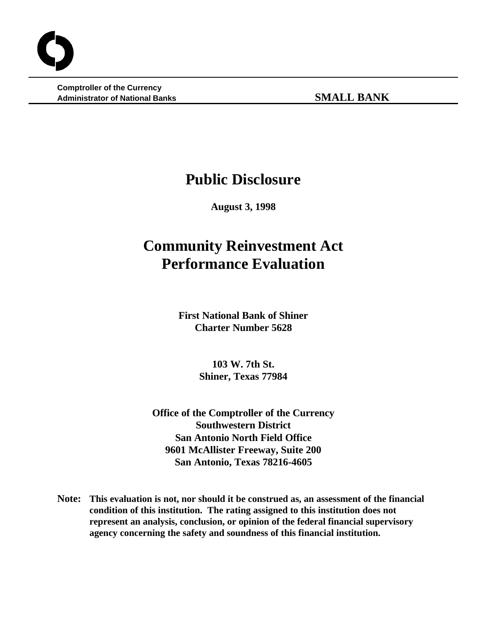**Comptroller of the Currency Administrator of National Banks SMALL BANK**

## **Public Disclosure**

**August 3, 1998**

# **Community Reinvestment Act Performance Evaluation**

**First National Bank of Shiner Charter Number 5628**

> **103 W. 7th St. Shiner, Texas 77984**

**Office of the Comptroller of the Currency Southwestern District San Antonio North Field Office 9601 McAllister Freeway, Suite 200 San Antonio, Texas 78216-4605**

**Note: This evaluation is not, nor should it be construed as, an assessment of the financial condition of this institution. The rating assigned to this institution does not represent an analysis, conclusion, or opinion of the federal financial supervisory agency concerning the safety and soundness of this financial institution.**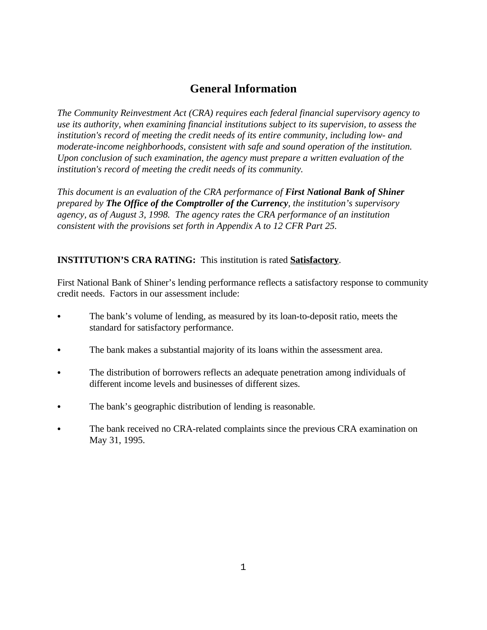## **General Information**

*The Community Reinvestment Act (CRA) requires each federal financial supervisory agency to use its authority, when examining financial institutions subject to its supervision, to assess the institution's record of meeting the credit needs of its entire community, including low- and moderate-income neighborhoods, consistent with safe and sound operation of the institution. Upon conclusion of such examination, the agency must prepare a written evaluation of the institution's record of meeting the credit needs of its community.* 

*This document is an evaluation of the CRA performance of First National Bank of Shiner prepared by The Office of the Comptroller of the Currency, the institution's supervisory agency, as of August 3, 1998. The agency rates the CRA performance of an institution consistent with the provisions set forth in Appendix A to 12 CFR Part 25.*

## **INSTITUTION'S CRA RATING:** This institution is rated **Satisfactory**.

First National Bank of Shiner's lending performance reflects a satisfactory response to community credit needs. Factors in our assessment include:

- The bank's volume of lending, as measured by its loan-to-deposit ratio, meets the standard for satisfactory performance.
- The bank makes a substantial majority of its loans within the assessment area.
- The distribution of borrowers reflects an adequate penetration among individuals of different income levels and businesses of different sizes.
- The bank's geographic distribution of lending is reasonable.
- The bank received no CRA-related complaints since the previous CRA examination on May 31, 1995.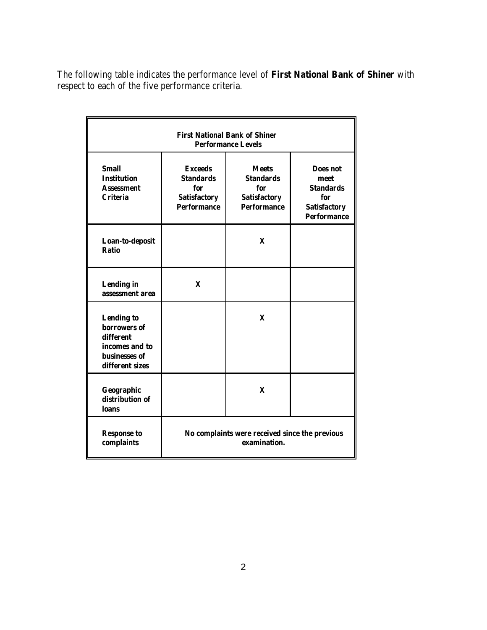The following table indicates the performance level of **First National Bank of Shiner** with respect to each of the five performance criteria.

| <b>First National Bank of Shiner</b><br><b>Performance Levels</b>                                    |                                                                                        |                                                                                      |                                                                                          |  |  |  |  |  |  |
|------------------------------------------------------------------------------------------------------|----------------------------------------------------------------------------------------|--------------------------------------------------------------------------------------|------------------------------------------------------------------------------------------|--|--|--|--|--|--|
| <b>Small</b><br><b>Institution</b><br><b>Assessment</b><br><b>Criteria</b>                           | <b>Exceeds</b><br><b>Standards</b><br>for<br><b>Satisfactory</b><br><b>Performance</b> | <b>Meets</b><br><b>Standards</b><br>for<br><b>Satisfactory</b><br><b>Performance</b> | Does not<br>meet<br><b>Standards</b><br>for<br><b>Satisfactory</b><br><b>Performance</b> |  |  |  |  |  |  |
| Loan-to-deposit<br><b>Ratio</b>                                                                      |                                                                                        | $\mathbf{x}$                                                                         |                                                                                          |  |  |  |  |  |  |
| <b>Lending</b> in<br>assessment area                                                                 | X                                                                                      |                                                                                      |                                                                                          |  |  |  |  |  |  |
| <b>Lending to</b><br>borrowers of<br>different<br>incomes and to<br>businesses of<br>different sizes |                                                                                        | $\mathbf x$                                                                          |                                                                                          |  |  |  |  |  |  |
| Geographic<br>distribution of<br><b>loans</b>                                                        |                                                                                        | $\mathbf x$                                                                          |                                                                                          |  |  |  |  |  |  |
| <b>Response to</b><br>complaints                                                                     | No complaints were received since the previous<br>examination.                         |                                                                                      |                                                                                          |  |  |  |  |  |  |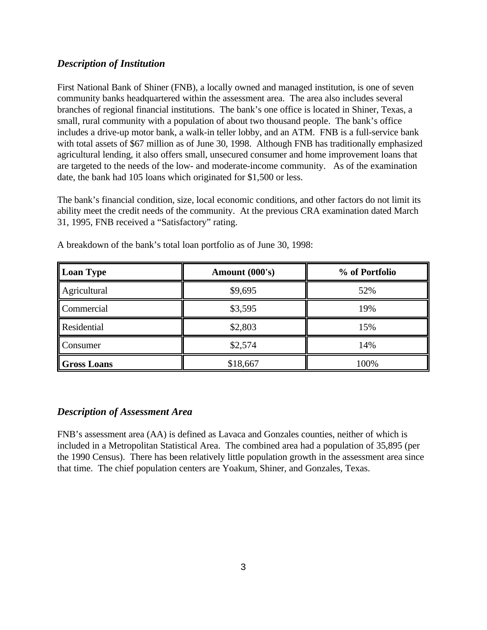## *Description of Institution*

First National Bank of Shiner (FNB), a locally owned and managed institution, is one of seven community banks headquartered within the assessment area. The area also includes several branches of regional financial institutions. The bank's one office is located in Shiner, Texas, a small, rural community with a population of about two thousand people. The bank's office includes a drive-up motor bank, a walk-in teller lobby, and an ATM. FNB is a full-service bank with total assets of \$67 million as of June 30, 1998. Although FNB has traditionally emphasized agricultural lending, it also offers small, unsecured consumer and home improvement loans that are targeted to the needs of the low- and moderate-income community. As of the examination date, the bank had 105 loans which originated for \$1,500 or less.

The bank's financial condition, size, local economic conditions, and other factors do not limit its ability meet the credit needs of the community. At the previous CRA examination dated March 31, 1995, FNB received a "Satisfactory" rating.

| Loan Type          | Amount (000's) | % of Portfolio |  |  |  |
|--------------------|----------------|----------------|--|--|--|
| Agricultural       | \$9,695        | 52%            |  |  |  |
| Commercial         | \$3,595        | 19%            |  |  |  |
| <b>Residential</b> | \$2,803        | 15%            |  |  |  |
| <b>Consumer</b>    | \$2,574        | 14%            |  |  |  |
| Gross Loans        | \$18,667       | 100%           |  |  |  |

A breakdown of the bank's total loan portfolio as of June 30, 1998:

### *Description of Assessment Area*

FNB's assessment area (AA) is defined as Lavaca and Gonzales counties, neither of which is included in a Metropolitan Statistical Area. The combined area had a population of 35,895 (per the 1990 Census). There has been relatively little population growth in the assessment area since that time. The chief population centers are Yoakum, Shiner, and Gonzales, Texas.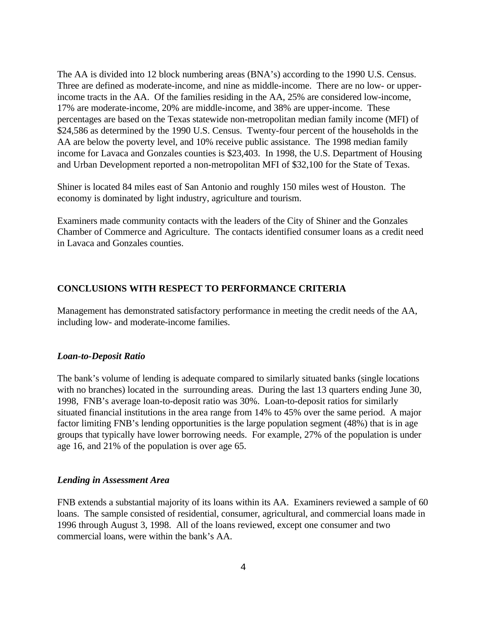The AA is divided into 12 block numbering areas (BNA's) according to the 1990 U.S. Census. Three are defined as moderate-income, and nine as middle-income. There are no low- or upperincome tracts in the AA. Of the families residing in the AA, 25% are considered low-income, 17% are moderate-income, 20% are middle-income, and 38% are upper-income. These percentages are based on the Texas statewide non-metropolitan median family income (MFI) of \$24,586 as determined by the 1990 U.S. Census. Twenty-four percent of the households in the AA are below the poverty level, and 10% receive public assistance. The 1998 median family income for Lavaca and Gonzales counties is \$23,403. In 1998, the U.S. Department of Housing and Urban Development reported a non-metropolitan MFI of \$32,100 for the State of Texas.

Shiner is located 84 miles east of San Antonio and roughly 150 miles west of Houston. The economy is dominated by light industry, agriculture and tourism.

Examiners made community contacts with the leaders of the City of Shiner and the Gonzales Chamber of Commerce and Agriculture. The contacts identified consumer loans as a credit need in Lavaca and Gonzales counties.

## **CONCLUSIONS WITH RESPECT TO PERFORMANCE CRITERIA**

Management has demonstrated satisfactory performance in meeting the credit needs of the AA, including low- and moderate-income families.

#### *Loan-to-Deposit Ratio*

The bank's volume of lending is adequate compared to similarly situated banks (single locations with no branches) located in the surrounding areas. During the last 13 quarters ending June 30, 1998, FNB's average loan-to-deposit ratio was 30%. Loan-to-deposit ratios for similarly situated financial institutions in the area range from 14% to 45% over the same period. A major factor limiting FNB's lending opportunities is the large population segment (48%) that is in age groups that typically have lower borrowing needs. For example, 27% of the population is under age 16, and 21% of the population is over age 65.

#### *Lending in Assessment Area*

FNB extends a substantial majority of its loans within its AA. Examiners reviewed a sample of 60 loans. The sample consisted of residential, consumer, agricultural, and commercial loans made in 1996 through August 3, 1998. All of the loans reviewed, except one consumer and two commercial loans, were within the bank's AA.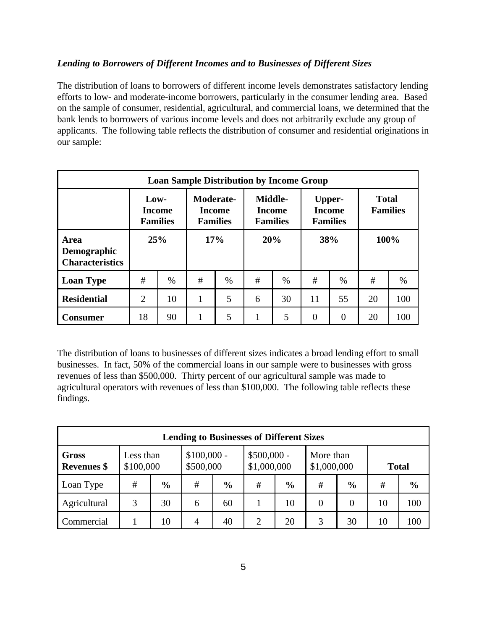## *Lending to Borrowers of Different Incomes and to Businesses of Different Sizes*

The distribution of loans to borrowers of different income levels demonstrates satisfactory lending efforts to low- and moderate-income borrowers, particularly in the consumer lending area. Based on the sample of consumer, residential, agricultural, and commercial loans, we determined that the bank lends to borrowers of various income levels and does not arbitrarily exclude any group of applicants. The following table reflects the distribution of consumer and residential originations in our sample:

| <b>Loan Sample Distribution by Income Group</b>      |     |                                                                                                                                            |     |      |                                            |      |                                 |          |      |      |
|------------------------------------------------------|-----|--------------------------------------------------------------------------------------------------------------------------------------------|-----|------|--------------------------------------------|------|---------------------------------|----------|------|------|
|                                                      |     | Middle-<br>Moderate-<br>$Low-$<br><b>Income</b><br><b>Income</b><br><b>Income</b><br><b>Families</b><br><b>Families</b><br><b>Families</b> |     |      | Upper-<br><b>Income</b><br><b>Families</b> |      | <b>Total</b><br><b>Families</b> |          |      |      |
| Area<br><b>Demographic</b><br><b>Characteristics</b> | 25% |                                                                                                                                            | 17% |      | 20%                                        |      | 38%                             |          | 100% |      |
| <b>Loan Type</b>                                     | #   | $\%$                                                                                                                                       | #   | $\%$ | #                                          | $\%$ | #                               | $\%$     | #    | $\%$ |
| <b>Residential</b>                                   | 2   | 10                                                                                                                                         |     | 5    | 6                                          | 30   | 11                              | 55       | 20   | 100  |
| <b>Consumer</b>                                      | 18  | 90                                                                                                                                         |     | 5    | 1                                          | 5    | $\theta$                        | $\theta$ | 20   | 100  |

The distribution of loans to businesses of different sizes indicates a broad lending effort to small businesses. In fact, 50% of the commercial loans in our sample were to businesses with gross revenues of less than \$500,000. Thirty percent of our agricultural sample was made to agricultural operators with revenues of less than \$100,000. The following table reflects these findings.

| <b>Lending to Businesses of Different Sizes</b> |   |                                                     |   |                             |                |                          |          |               |    |               |
|-------------------------------------------------|---|-----------------------------------------------------|---|-----------------------------|----------------|--------------------------|----------|---------------|----|---------------|
| <b>Gross</b><br><b>Revenues</b> \$              |   | $$100,000 -$<br>Less than<br>\$500,000<br>\$100,000 |   | $$500,000 -$<br>\$1,000,000 |                | More than<br>\$1,000,000 |          | <b>Total</b>  |    |               |
| Loan Type                                       | # | $\frac{6}{9}$                                       | # | $\frac{0}{0}$               | #              | $\frac{6}{6}$            | #        | $\frac{6}{6}$ | #  | $\frac{6}{6}$ |
| Agricultural                                    | 3 | 30                                                  | 6 | 60                          |                | 10                       | $\Omega$ |               | 10 | 100           |
| Commercial                                      |   | 10                                                  | 4 | 40                          | $\overline{2}$ | 20                       | 3        | 30            | 10 | 100           |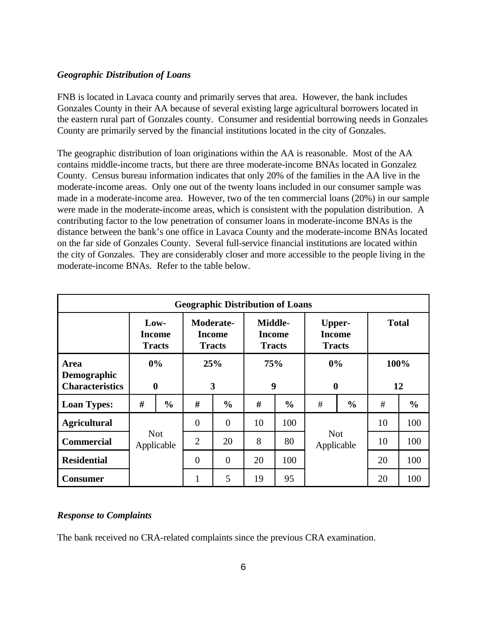#### *Geographic Distribution of Loans*

FNB is located in Lavaca county and primarily serves that area. However, the bank includes Gonzales County in their AA because of several existing large agricultural borrowers located in the eastern rural part of Gonzales county. Consumer and residential borrowing needs in Gonzales County are primarily served by the financial institutions located in the city of Gonzales.

The geographic distribution of loan originations within the AA is reasonable. Most of the AA contains middle-income tracts, but there are three moderate-income BNAs located in Gonzalez County. Census bureau information indicates that only 20% of the families in the AA live in the moderate-income areas. Only one out of the twenty loans included in our consumer sample was made in a moderate-income area. However, two of the ten commercial loans (20%) in our sample were made in the moderate-income areas, which is consistent with the population distribution. A contributing factor to the low penetration of consumer loans in moderate-income BNAs is the distance between the bank's one office in Lavaca County and the moderate-income BNAs located on the far side of Gonzales County. Several full-service financial institutions are located within the city of Gonzales. They are considerably closer and more accessible to the people living in the moderate-income BNAs. Refer to the table below.

| <b>Geographic Distribution of Loans</b>              |                                 |               |                                                    |                |                                    |               |                                                 |    |              |               |
|------------------------------------------------------|---------------------------------|---------------|----------------------------------------------------|----------------|------------------------------------|---------------|-------------------------------------------------|----|--------------|---------------|
|                                                      | Low-<br>Income<br><b>Tracts</b> |               | <b>Moderate-</b><br><b>Income</b><br><b>Tracts</b> |                | Middle-<br>Income<br><b>Tracts</b> |               | <b>Upper-</b><br><b>Income</b><br><b>Tracts</b> |    | <b>Total</b> |               |
| <b>Area</b><br>Demographic<br><b>Characteristics</b> | 0%<br>$\boldsymbol{0}$          |               | 25%<br>3                                           |                | 75%<br>9                           |               | 0%<br>$\boldsymbol{0}$                          |    | 100%<br>12   |               |
| <b>Loan Types:</b>                                   | #                               | $\frac{0}{0}$ | #                                                  | $\frac{6}{6}$  | #                                  | $\frac{0}{0}$ | #<br>$\frac{0}{0}$                              |    | #            | $\frac{6}{6}$ |
| <b>Agricultural</b>                                  | <b>Not</b><br>Applicable        |               | $\overline{0}$                                     | $\overline{0}$ | 10                                 | 100           | <b>Not</b><br>Applicable                        |    | 10           | 100           |
| <b>Commercial</b>                                    |                                 |               | $\overline{2}$                                     | 20             | 8                                  | 80            |                                                 |    | 10           | 100           |
| <b>Residential</b>                                   |                                 |               | $\overline{0}$                                     | $\overline{0}$ | 20                                 | 100           |                                                 | 20 | 100          |               |
| <b>Consumer</b>                                      |                                 |               | $\mathbf{1}$                                       | 5              | 19                                 | 95            |                                                 |    | 20           | 100           |

### *Response to Complaints*

The bank received no CRA-related complaints since the previous CRA examination.